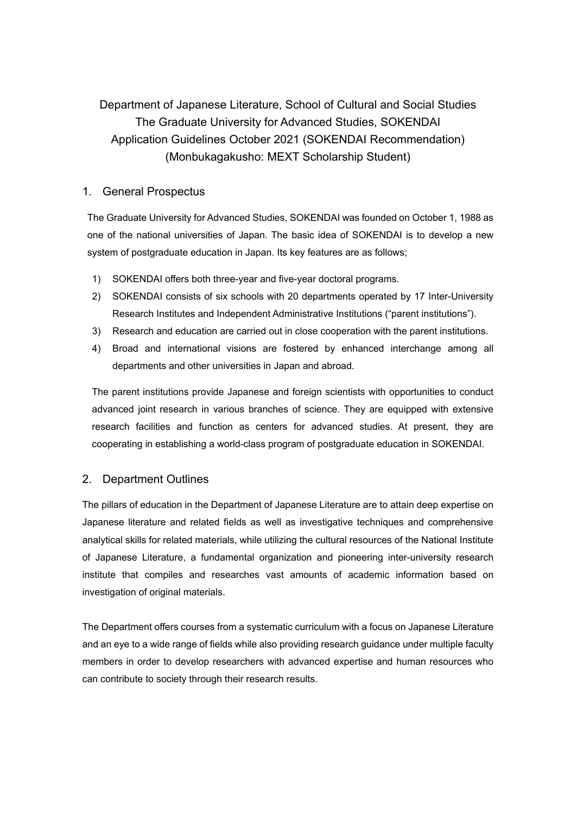# Department of Japanese Literature, School of Cultural and Social Studies The Graduate University for Advanced Studies, SOKENDAI Application Guidelines October 2021 (SOKENDAI Recommendation) (Monbukagakusho: MEXT Scholarship Student)

# 1. General Prospectus

The Graduate University for Advanced Studies, SOKENDAI was founded on October 1, 1988 as one of the national universities of Japan. The basic idea of SOKENDAI is to develop a new system of postgraduate education in Japan. Its key features are as follows:

- 1) SOKENDAI offers both three-year and five-year doctoral programs.
- 2) SOKENDAI consists of six schools with 20 departments operated by 17 Inter-University Research Institutes and Independent Administrative Institutions ("parent institutions").
- 3) Research and education are carried out in close cooperation with the parent institutions.
- 4) Broad and international visions are fostered by enhanced interchange among all departments and other universities in Japan and abroad.

 The parent institutions provide Japanese and foreign scientists with opportunities to conduct advanced joint research in various branches of science. They are equipped with extensive research facilities and function as centers for advanced studies. At present, they are cooperating in establishing a world-class program of postgraduate education in SOKENDAI.

# 2. Department Outlines

The pillars of education in the Department of Japanese Literature are to attain deep expertise on Japanese literature and related fields as well as investigative techniques and comprehensive analytical skills for related materials, while utilizing the cultural resources of the National Institute of Japanese Literature, a fundamental organization and pioneering inter-university research institute that compiles and researches vast amounts of academic information based on investigation of original materials.

The Department offers courses from a systematic curriculum with a focus on Japanese Literature and an eye to a wide range of fields while also providing research guidance under multiple faculty members in order to develop researchers with advanced expertise and human resources who can contribute to society through their research results.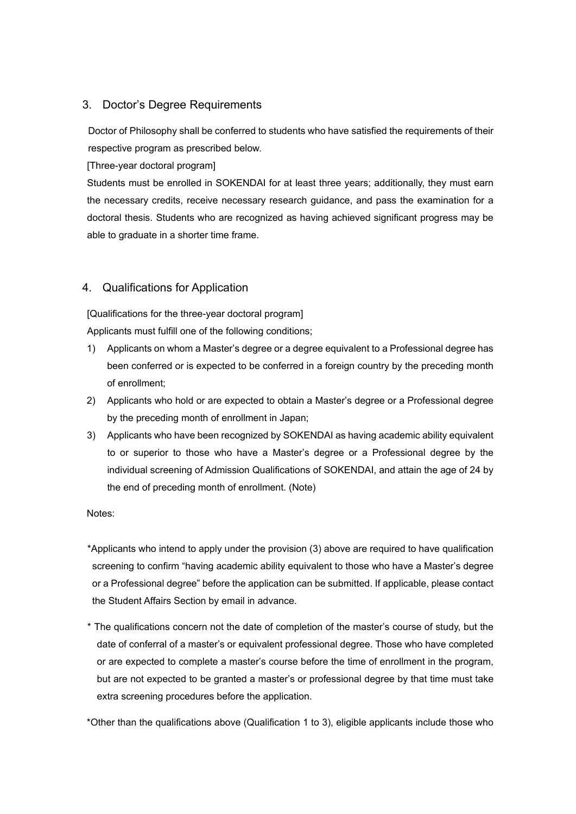# 3. Doctor's Degree Requirements

Doctor of Philosophy shall be conferred to students who have satisfied the requirements of their respective program as prescribed below.

[Three-year doctoral program]

 Students must be enrolled in SOKENDAI for at least three years; additionally, they must earn the necessary credits, receive necessary research guidance, and pass the examination for a doctoral thesis. Students who are recognized as having achieved significant progress may be able to graduate in a shorter time frame.

## 4. Qualifications for Application

[Qualifications for the three-year doctoral program]

Applicants must fulfill one of the following conditions;

- 1) Applicants on whom a Master's degree or a degree equivalent to a Professional degree has been conferred or is expected to be conferred in a foreign country by the preceding month of enrollment;
- 2) Applicants who hold or are expected to obtain a Master's degree or a Professional degree by the preceding month of enrollment in Japan;
- 3) Applicants who have been recognized by SOKENDAI as having academic ability equivalent to or superior to those who have a Master's degree or a Professional degree by the individual screening of Admission Qualifications of SOKENDAI, and attain the age of 24 by the end of preceding month of enrollment. (Note)

Notes:

\*Applicants who intend to apply under the provision (3) above are required to have qualification screening to confirm "having academic ability equivalent to those who have a Master's degree or a Professional degree" before the application can be submitted. If applicable, please contact the Student Affairs Section by email in advance.

\* The qualifications concern not the date of completion of the master's course of study, but the date of conferral of a master's or equivalent professional degree. Those who have completed or are expected to complete a master's course before the time of enrollment in the program, but are not expected to be granted a master's or professional degree by that time must take extra screening procedures before the application.

\*Other than the qualifications above (Qualification 1 to 3), eligible applicants include those who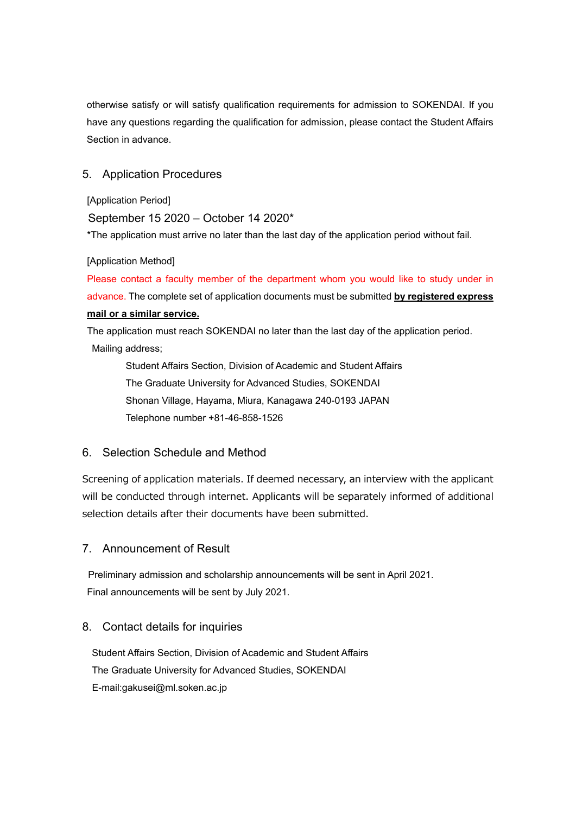otherwise satisfy or will satisfy qualification requirements for admission to SOKENDAI. If you have any questions regarding the qualification for admission, please contact the Student Affairs Section in advance.

# 5. Application Procedures

[Application Period]

September 15 2020 – October 14 2020\*

\*The application must arrive no later than the last day of the application period without fail.

### [Application Method]

Please contact a faculty member of the department whom you would like to study under in advance. The complete set of application documents must be submitted **by registered express mail or a similar service.** 

The application must reach SOKENDAI no later than the last day of the application period. Mailing address;

 Student Affairs Section, Division of Academic and Student Affairs The Graduate University for Advanced Studies, SOKENDAI Shonan Village, Hayama, Miura, Kanagawa 240-0193 JAPAN Telephone number +81-46-858-1526

# 6. Selection Schedule and Method

Screening of application materials. If deemed necessary, an interview with the applicant will be conducted through internet. Applicants will be separately informed of additional selection details after their documents have been submitted.

## 7. Announcement of Result

Preliminary admission and scholarship announcements will be sent in April 2021. Final announcements will be sent by July 2021.

## 8. Contact details for inquiries

Student Affairs Section, Division of Academic and Student Affairs The Graduate University for Advanced Studies, SOKENDAI E-mail:gakusei@ml.soken.ac.jp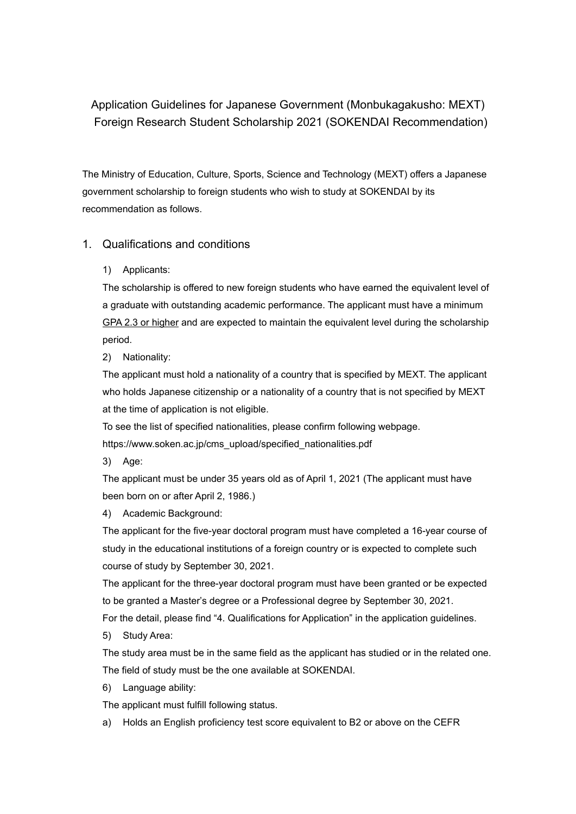Application Guidelines for Japanese Government (Monbukagakusho: MEXT) Foreign Research Student Scholarship 2021 (SOKENDAI Recommendation)

The Ministry of Education, Culture, Sports, Science and Technology (MEXT) offers a Japanese government scholarship to foreign students who wish to study at SOKENDAI by its recommendation as follows.

# 1. Qualifications and conditions

1) Applicants:

The scholarship is offered to new foreign students who have earned the equivalent level of a graduate with outstanding academic performance. The applicant must have a minimum GPA 2.3 or higher and are expected to maintain the equivalent level during the scholarship period.

2) Nationality:

The applicant must hold a nationality of a country that is specified by MEXT. The applicant who holds Japanese citizenship or a nationality of a country that is not specified by MEXT at the time of application is not eligible.

To see the list of specified nationalities, please confirm following webpage. https://www.soken.ac.jp/cms\_upload/specified\_nationalities.pdf

3) Age:

The applicant must be under 35 years old as of April 1, 2021 (The applicant must have been born on or after April 2, 1986.)

4) Academic Background:

The applicant for the five-year doctoral program must have completed a 16-year course of study in the educational institutions of a foreign country or is expected to complete such course of study by September 30, 2021.

The applicant for the three-year doctoral program must have been granted or be expected to be granted a Master's degree or a Professional degree by September 30, 2021.

For the detail, please find "4. Qualifications for Application" in the application guidelines.

5) Study Area:

The study area must be in the same field as the applicant has studied or in the related one. The field of study must be the one available at SOKENDAI.

6) Language ability:

The applicant must fulfill following status.

a) Holds an English proficiency test score equivalent to B2 or above on the CEFR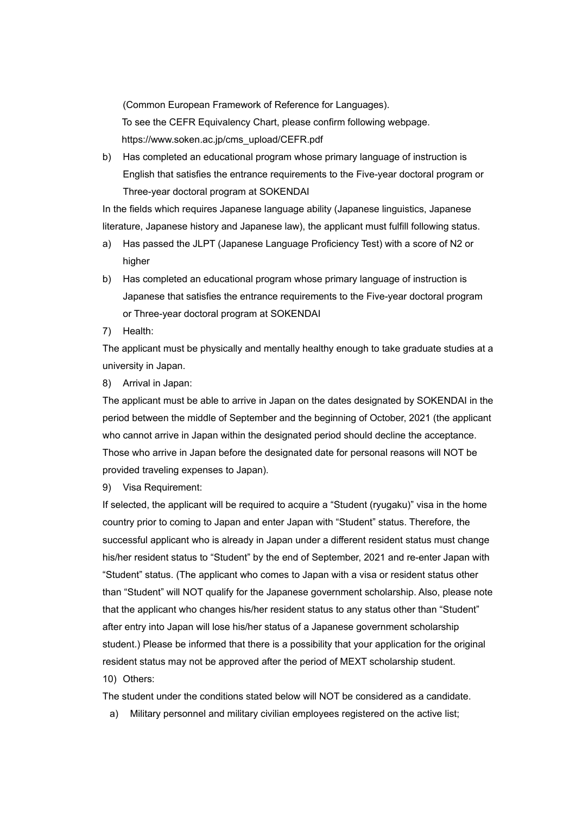(Common European Framework of Reference for Languages). To see the CEFR Equivalency Chart, please confirm following webpage. https://www.soken.ac.jp/cms\_upload/CEFR.pdf

b) Has completed an educational program whose primary language of instruction is English that satisfies the entrance requirements to the Five-year doctoral program or Three-year doctoral program at SOKENDAI

In the fields which requires Japanese language ability (Japanese linguistics, Japanese literature, Japanese history and Japanese law), the applicant must fulfill following status.

- a) Has passed the JLPT (Japanese Language Proficiency Test) with a score of N2 or higher
- b) Has completed an educational program whose primary language of instruction is Japanese that satisfies the entrance requirements to the Five-year doctoral program or Three-year doctoral program at SOKENDAI
- 7) Health:

The applicant must be physically and mentally healthy enough to take graduate studies at a university in Japan.

8) Arrival in Japan:

The applicant must be able to arrive in Japan on the dates designated by SOKENDAI in the period between the middle of September and the beginning of October, 2021 (the applicant who cannot arrive in Japan within the designated period should decline the acceptance. Those who arrive in Japan before the designated date for personal reasons will NOT be provided traveling expenses to Japan).

9) Visa Requirement:

If selected, the applicant will be required to acquire a "Student (ryugaku)" visa in the home country prior to coming to Japan and enter Japan with "Student" status. Therefore, the successful applicant who is already in Japan under a different resident status must change his/her resident status to "Student" by the end of September, 2021 and re-enter Japan with "Student" status. (The applicant who comes to Japan with a visa or resident status other than "Student" will NOT qualify for the Japanese government scholarship. Also, please note that the applicant who changes his/her resident status to any status other than "Student" after entry into Japan will lose his/her status of a Japanese government scholarship student.) Please be informed that there is a possibility that your application for the original resident status may not be approved after the period of MEXT scholarship student. 10) Others:

The student under the conditions stated below will NOT be considered as a candidate.

a) Military personnel and military civilian employees registered on the active list;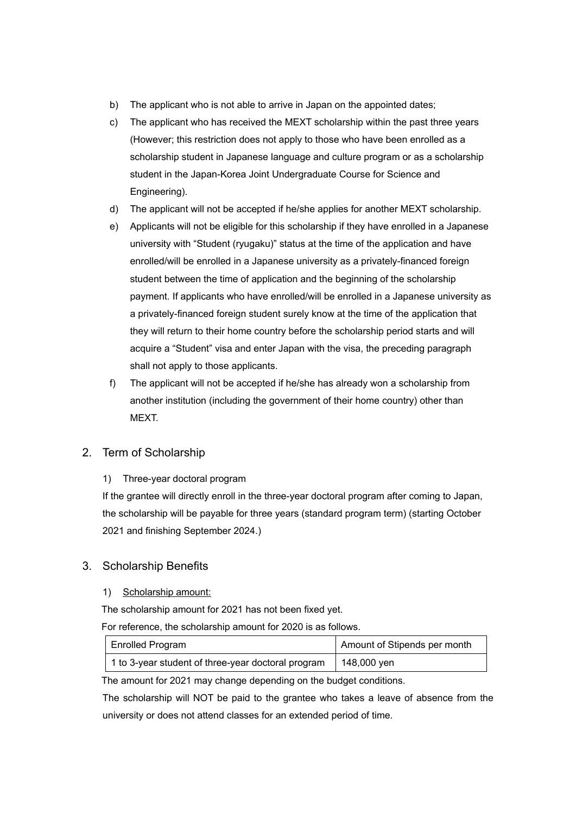- b) The applicant who is not able to arrive in Japan on the appointed dates;
- c) The applicant who has received the MEXT scholarship within the past three years (However; this restriction does not apply to those who have been enrolled as a scholarship student in Japanese language and culture program or as a scholarship student in the Japan-Korea Joint Undergraduate Course for Science and Engineering).
- d) The applicant will not be accepted if he/she applies for another MEXT scholarship.
- e) Applicants will not be eligible for this scholarship if they have enrolled in a Japanese university with "Student (ryugaku)" status at the time of the application and have enrolled/will be enrolled in a Japanese university as a privately-financed foreign student between the time of application and the beginning of the scholarship payment. If applicants who have enrolled/will be enrolled in a Japanese university as a privately-financed foreign student surely know at the time of the application that they will return to their home country before the scholarship period starts and will acquire a "Student" visa and enter Japan with the visa, the preceding paragraph shall not apply to those applicants.
- f) The applicant will not be accepted if he/she has already won a scholarship from another institution (including the government of their home country) other than MEXT.

# 2. Term of Scholarship

1) Three-year doctoral program

If the grantee will directly enroll in the three-year doctoral program after coming to Japan, the scholarship will be payable for three years (standard program term) (starting October 2021 and finishing September 2024.)

# 3. Scholarship Benefits

## 1) Scholarship amount:

The scholarship amount for 2021 has not been fixed yet.

For reference, the scholarship amount for 2020 is as follows.

| <b>Enrolled Program</b>                            | Amount of Stipends per month |
|----------------------------------------------------|------------------------------|
| 1 to 3-year student of three-year doctoral program | 148,000 yen                  |

The amount for 2021 may change depending on the budget conditions.

The scholarship will NOT be paid to the grantee who takes a leave of absence from the university or does not attend classes for an extended period of time.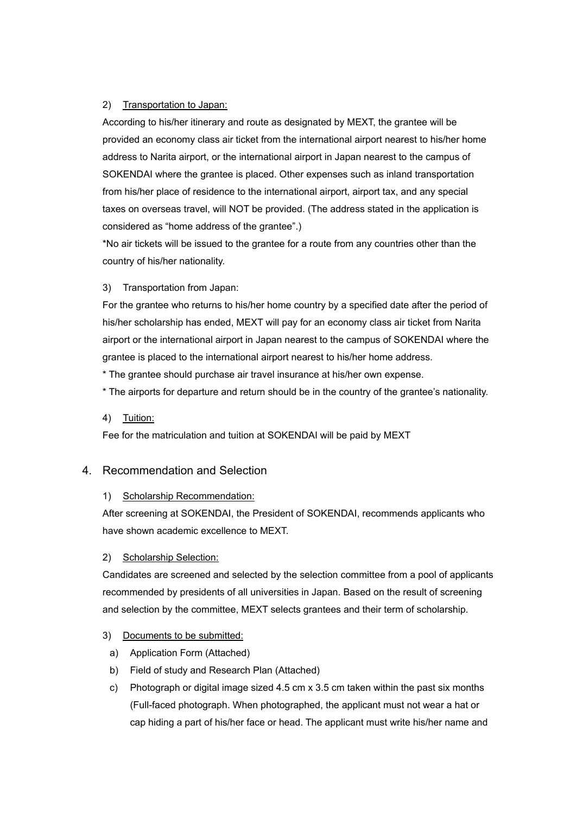#### 2) Transportation to Japan:

According to his/her itinerary and route as designated by MEXT, the grantee will be provided an economy class air ticket from the international airport nearest to his/her home address to Narita airport, or the international airport in Japan nearest to the campus of SOKENDAI where the grantee is placed. Other expenses such as inland transportation from his/her place of residence to the international airport, airport tax, and any special taxes on overseas travel, will NOT be provided. (The address stated in the application is considered as "home address of the grantee".)

\*No air tickets will be issued to the grantee for a route from any countries other than the country of his/her nationality.

#### 3) Transportation from Japan:

For the grantee who returns to his/her home country by a specified date after the period of his/her scholarship has ended, MEXT will pay for an economy class air ticket from Narita airport or the international airport in Japan nearest to the campus of SOKENDAI where the grantee is placed to the international airport nearest to his/her home address.

\* The grantee should purchase air travel insurance at his/her own expense.

\* The airports for departure and return should be in the country of the grantee's nationality.

#### 4) Tuition:

Fee for the matriculation and tuition at SOKENDAI will be paid by MEXT

## 4. Recommendation and Selection

#### 1) Scholarship Recommendation:

After screening at SOKENDAI, the President of SOKENDAI, recommends applicants who have shown academic excellence to MEXT.

#### 2) Scholarship Selection:

Candidates are screened and selected by the selection committee from a pool of applicants recommended by presidents of all universities in Japan. Based on the result of screening and selection by the committee, MEXT selects grantees and their term of scholarship.

#### 3) Documents to be submitted:

- a) Application Form (Attached)
- b) Field of study and Research Plan (Attached)
- c) Photograph or digital image sized 4.5 cm x 3.5 cm taken within the past six months (Full-faced photograph. When photographed, the applicant must not wear a hat or cap hiding a part of his/her face or head. The applicant must write his/her name and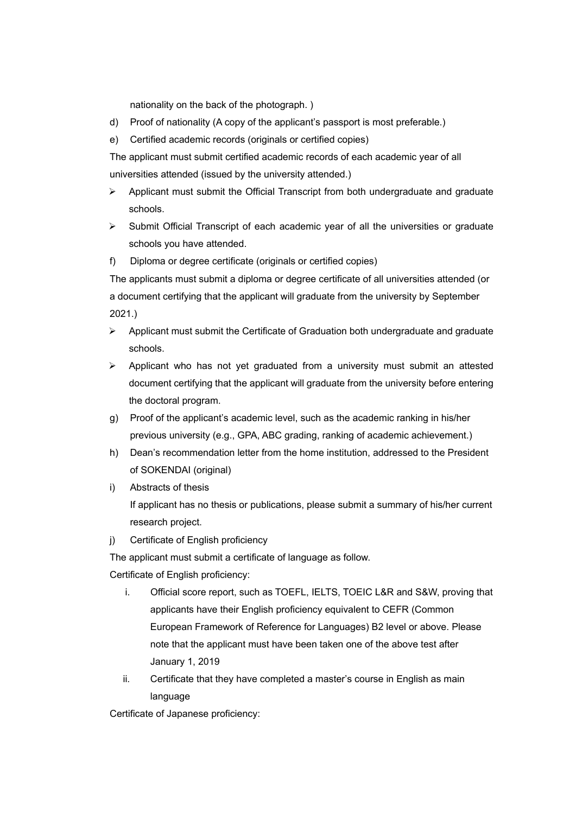nationality on the back of the photograph. )

- d) Proof of nationality (A copy of the applicant's passport is most preferable.)
- e) Certified academic records (originals or certified copies)

The applicant must submit certified academic records of each academic year of all universities attended (issued by the university attended.)

- $\triangleright$  Applicant must submit the Official Transcript from both undergraduate and graduate schools.
- $\triangleright$  Submit Official Transcript of each academic year of all the universities or graduate schools you have attended.
- f) Diploma or degree certificate (originals or certified copies)

The applicants must submit a diploma or degree certificate of all universities attended (or a document certifying that the applicant will graduate from the university by September 2021.)

- Applicant must submit the Certificate of Graduation both undergraduate and graduate schools.
- $\triangleright$  Applicant who has not vet graduated from a university must submit an attested document certifying that the applicant will graduate from the university before entering the doctoral program.
- g) Proof of the applicant's academic level, such as the academic ranking in his/her previous university (e.g., GPA, ABC grading, ranking of academic achievement.)
- h) Dean's recommendation letter from the home institution, addressed to the President of SOKENDAI (original)
- i) Abstracts of thesis If applicant has no thesis or publications, please submit a summary of his/her current research project.
- i) Certificate of English proficiency

The applicant must submit a certificate of language as follow.

Certificate of English proficiency:

- i. Official score report, such as TOEFL, IELTS, TOEIC L&R and S&W, proving that applicants have their English proficiency equivalent to CEFR (Common European Framework of Reference for Languages) B2 level or above. Please note that the applicant must have been taken one of the above test after January 1, 2019
- ii. Certificate that they have completed a master's course in English as main language

Certificate of Japanese proficiency: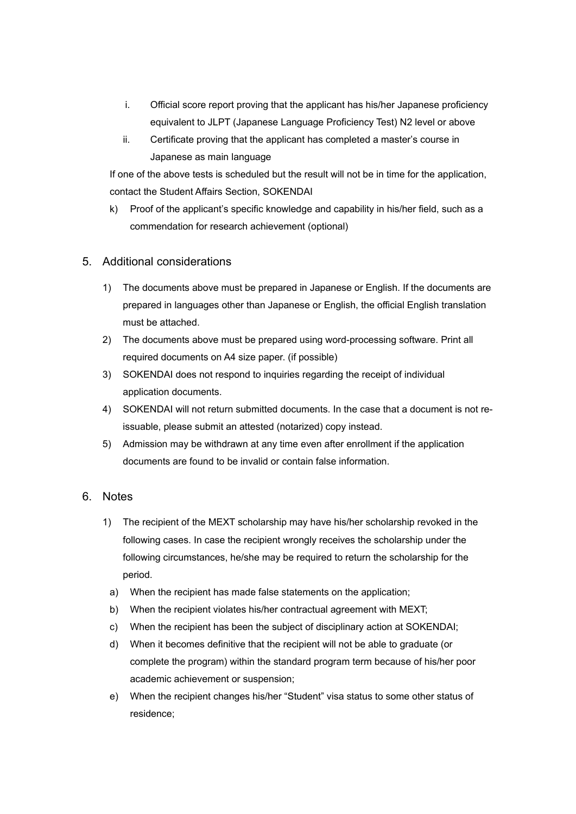- i. Official score report proving that the applicant has his/her Japanese proficiency equivalent to JLPT (Japanese Language Proficiency Test) N2 level or above
- ii. Certificate proving that the applicant has completed a master's course in Japanese as main language

If one of the above tests is scheduled but the result will not be in time for the application, contact the Student Affairs Section, SOKENDAI

k) Proof of the applicant's specific knowledge and capability in his/her field, such as a commendation for research achievement (optional)

## 5. Additional considerations

- 1) The documents above must be prepared in Japanese or English. If the documents are prepared in languages other than Japanese or English, the official English translation must be attached.
- 2) The documents above must be prepared using word-processing software. Print all required documents on A4 size paper. (if possible)
- 3) SOKENDAI does not respond to inquiries regarding the receipt of individual application documents.
- 4) SOKENDAI will not return submitted documents. In the case that a document is not reissuable, please submit an attested (notarized) copy instead.
- 5) Admission may be withdrawn at any time even after enrollment if the application documents are found to be invalid or contain false information.

## 6. Notes

- 1) The recipient of the MEXT scholarship may have his/her scholarship revoked in the following cases. In case the recipient wrongly receives the scholarship under the following circumstances, he/she may be required to return the scholarship for the period.
	- a) When the recipient has made false statements on the application;
	- b) When the recipient violates his/her contractual agreement with MEXT;
	- c) When the recipient has been the subject of disciplinary action at SOKENDAI;
	- d) When it becomes definitive that the recipient will not be able to graduate (or complete the program) within the standard program term because of his/her poor academic achievement or suspension;
	- e) When the recipient changes his/her "Student" visa status to some other status of residence;